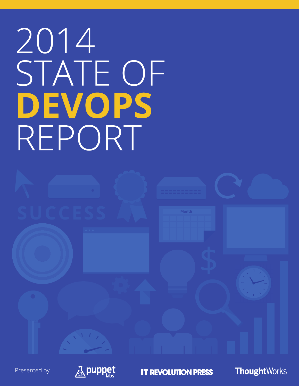# 2014 STATE OF **DEVOPS** REPORT





**IT REVOLUTION PRESS** 

**Thought**Works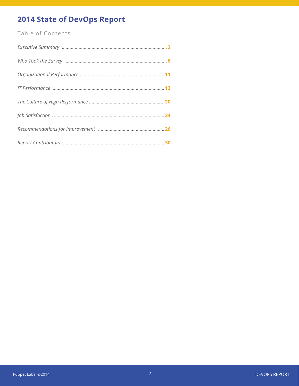## **2014 State of DevOps Report**

### Table of Contents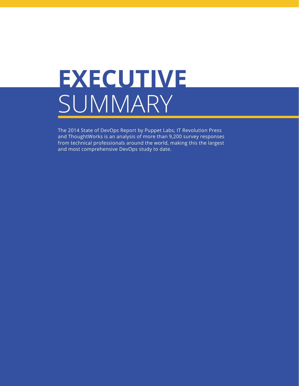

The 2014 State of DevOps Report by Puppet Labs, IT Revolution Press and ThoughtWorks is an analysis of more than 9,200 survey responses from technical professionals around the world, making this the largest and most comprehensive DevOps study to date.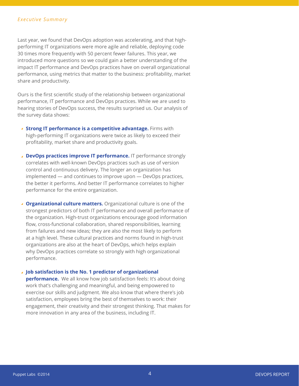Last year, we found that DevOps adoption was accelerating, and that highperforming IT organizations were more agile and reliable, deploying code 30 times more frequently with 50 percent fewer failures. This year, we introduced more questions so we could gain a better understanding of the impact IT performance and DevOps practices have on overall organizational performance, using metrics that matter to the business: profitability, market share and productivity.

Ours is the first scientific study of the relationship between organizational performance, IT performance and DevOps practices. While we are used to hearing stories of DevOps success, the results surprised us. Our analysis of the survey data shows:

- **Strong IT performance is a competitive advantage.** Firms with high-performing IT organizations were twice as likely to exceed their profitability, market share and productivity goals.
- **DevOps practices improve IT performance.** IT performance strongly correlates with well-known DevOps practices such as use of version control and continuous delivery. The longer an organization has implemented — and continues to improve upon — DevOps practices, the better it performs. And better IT performance correlates to higher performance for the entire organization.
- **Organizational culture matters.** Organizational culture is one of the strongest predictors of both IT performance and overall performance of the organization. High-trust organizations encourage good information flow, cross-functional collaboration, shared responsibilities, learning from failures and new ideas; they are also the most likely to perform at a high level. These cultural practices and norms found in high-trust organizations are also at the heart of DevOps, which helps explain why DevOps practices correlate so strongly with high organizational performance.

**Job satisfaction is the No. 1 predictor of organizational performance.** We all know how job satisfaction feels: It's about doing work that's challenging and meaningful, and being empowered to exercise our skills and judgment. We also know that where there's job satisfaction, employees bring the best of themselves to work: their engagement, their creativity and their strongest thinking. That makes for more innovation in any area of the business, including IT.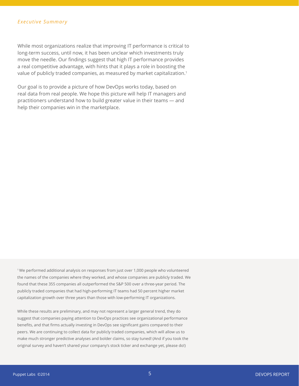#### *Executive Summary*

While most organizations realize that improving IT performance is critical to long-term success, until now, it has been unclear which investments truly move the needle. Our findings suggest that high IT performance provides a real competitive advantage, with hints that it plays a role in boosting the value of publicly traded companies, as measured by market capitalization.<sup>1</sup>

Our goal is to provide a picture of how DevOps works today, based on real data from real people. We hope this picture will help IT managers and practitioners understand how to build greater value in their teams — and help their companies win in the marketplace.

1 We performed additional analysis on responses from just over 1,000 people who volunteered the names of the companies where they worked, and whose companies are publicly traded. We found that these 355 companies all outperformed the S&P 500 over a three-year period. The publicly traded companies that had high-performing IT teams had 50 percent higher market capitalization growth over three years than those with low-performing IT organizations.

While these results are preliminary, and may not represent a larger general trend, they do suggest that companies paying attention to DevOps practices see organizational performance benefits, and that firms actually investing in DevOps see significant gains compared to their peers. We are continuing to collect data for publicly traded companies, which will allow us to make much stronger predictive analyses and bolder claims, so stay tuned! (And if you took the original survey and haven't shared your company's stock ticker and exchange yet, please do!)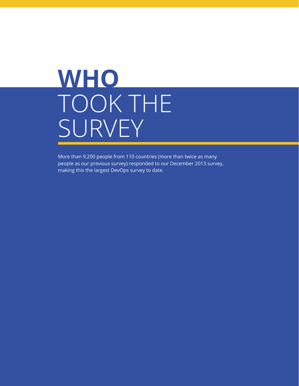## **WHO** TOOK THE SURVEY

More than 9,200 people from 110 countries (more than twice as many people as our previous survey) responded to our December 2013 survey, making this the largest DevOps survey to date.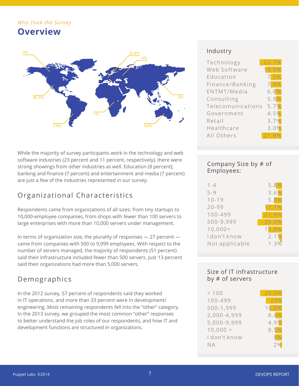## *Who Took the Survey* **Overview**



While the majority of survey participants work in the technology and web software industries (23 percent and 11 percent, respectively), there were strong showings from other industries as well. Education (8 percent), banking and finance (7 percent) and entertainment and media (7 percent) are just a few of the industries represented in our survey.

## Organizational Characteristics

Respondents came from organizations of all sizes: from tiny startups to 10,000-employee companies, from shops with fewer than 100 servers to large enterprises with more than 10,000 servers under management.

In terms of organization size, the plurality of responses — 27 percent came from companies with 500 to 9,999 employees. With respect to the number of servers managed, the majority of respondents (51 percent) said their infrastructure included fewer than 500 servers. Just 13 percent said their organizations had more than 5,000 servers.

## Demographics

In the 2012 survey, 57 percent of respondents said they worked in IT operations, and more than 33 percent were in development/ engineering. Most remaining respondents fell into the "other" category. In the 2013 survey, we grouped the most common "other" responses to better understand the job roles of our respondents, and how IT and development functions are structured in organizations.

#### Industry

| Technology        | 22.7%   |
|-------------------|---------|
| Web Software      | 0.9%    |
| Education         | 7.5%    |
| Finance/Banking   | 7.4%    |
| ENTMT/Media       | 6.8%    |
| Consulting        | 5.9%    |
| Telecomunications | 5.7%    |
| Government        | 4.5%    |
| Retail            | 3.7%    |
| Healthcare        | $3.0\%$ |
| All Others        | 21.9%   |

### Company Size by # of Employees:

| $1 - 4$        | 5.8%  |
|----------------|-------|
| $5 - 9$        | 3.6%  |
| $10 - 19$      | 5.8%  |
| $20 - 99$      | 17.1% |
| 100-499        | 21.8% |
| 500-9,999      | 26.8% |
| $10,000+$      | 15.8% |
| I don't know   | 2.1%  |
| Not applicable | 1.3%  |

#### Size of IT infrastructure by # of servers

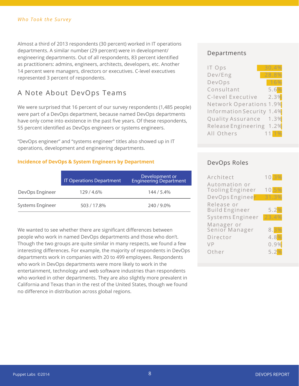Almost a third of 2013 respondents (30 percent) worked in IT operations departments. A similar number (29 percent) were in development/ engineering departments. Out of all respondents, 83 percent identified as practitioners: admins, engineers, architects, developers, etc. Another 14 percent were managers, directors or executives. C-level executives represented 3 percent of respondents.

## A Note About DevOps Teams

We were surprised that 16 percent of our survey respondents (1,485 people) were part of a DevOps department, because named DevOps departments have only come into existence in the past five years. Of these respondents, 55 percent identified as DevOps engineers or systems engineers.

"DevOps engineer" and "systems engineer" titles also showed up in IT operations, development and engineering departments.

#### **Incidence of DevOps & System Engineers by Department**

|                  | <b>IT Operations Department</b> | Development or<br>Engineering Department |
|------------------|---------------------------------|------------------------------------------|
| DevOps Engineer  | 129 / 4.6%                      | $144/5.4\%$                              |
| Systems Engineer | 503 / 17.8%                     | 240/9.0%                                 |

We wanted to see whether there are significant differences between people who work in named DevOps departments and those who don't. Though the two groups are quite similar in many respects, we found a few interesting differences. For example, the majority of respondents in DevOps departments work in companies with 20 to 499 employees. Respondents who work in DevOps departments were more likely to work in the entertainment, technology and web software industries than respondents who worked in other departments. They are also slightly more prevalent in California and Texas than in the rest of the United States, though we found no difference in distribution across global regions.

#### Departments

| IT Ops                    | 30.4% |
|---------------------------|-------|
| Dev/Eng                   | 28.8% |
| DevOps                    | 16%   |
| Consultant                | 5.6%  |
| C-level Executive         | 2.3%  |
| Network Operations 1.9%   |       |
| Information Security 1.4% |       |
| Quality Assurance 1.3%    |       |
| Release Engineering 1.2%  |       |
| All Others                | 11.1% |

### DevOps Roles

| Architect                                | 10.3% |
|------------------------------------------|-------|
| Automation or<br><b>Tooling Engineer</b> | 10.5% |
| DevOps Engineer                          | 31.3% |
| Release or<br>Build Engineer             | 5.2%  |
| Systems Engineer                         | 23.4% |
| Manager or<br>Senior Manager             | 8.3%  |
| Director                                 | 4.8%  |
| VP                                       | 0.9%  |
| Other                                    | 5.2%  |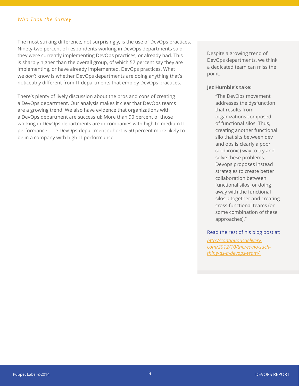The most striking difference, not surprisingly, is the use of DevOps practices. Ninety-two percent of respondents working in DevOps departments said they were currently implementing DevOps practices, or already had. This is sharply higher than the overall group, of which 57 percent say they are implementing, or have already implemented, DevOps practices. What we *don't* know is whether DevOps departments are doing anything that's noticeably different from IT departments that employ DevOps practices.

There's plenty of lively discussion about the pros and cons of creating a DevOps department. Our analysis makes it clear that DevOps teams are a growing trend. We also have evidence that organizations with a DevOps department are successful: More than 90 percent of those working in DevOps departments are in companies with high to medium IT performance. The DevOps-department cohort is 50 percent more likely to be in a company with high IT performance.

Despite a growing trend of DevOps departments, we think a dedicated team can miss the point.

#### **Jez Humble's take:**

"The DevOps movement addresses the dysfunction that results from organizations composed of functional silos. Thus, creating another functional silo that sits between dev and ops is clearly a poor (and ironic) way to try and solve these problems. Devops proposes instead strategies to create better collaboration between functional silos, or doing away with the functional silos altogether and creating cross-functional teams (or some combination of these approaches)."

#### Read the rest of his blog post at:

*http://continuousdelivery. com/2012/10/theres-no-suchthing-as-a-devops-team/*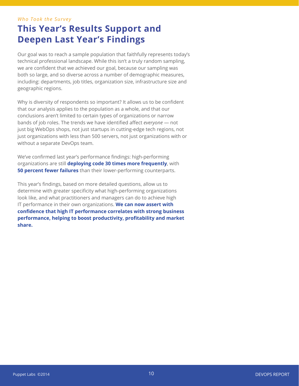#### *Who Took the Survey*

## **This Year's Results Support and Deepen Last Year's Findings**

Our goal was to reach a sample population that faithfully represents today's technical professional landscape. While this isn't a truly random sampling, we are confident that we achieved our goal, because our sampling was both so large, and so diverse across a number of demographic measures, including: departments, job titles, organization size, infrastructure size and geographic regions.

Why is diversity of respondents so important? It allows us to be confident that our analysis applies to the population as a whole, and that our conclusions aren't limited to certain types of organizations or narrow bands of job roles. The trends we have identified affect *everyone* — not just big WebOps shops, not just startups in cutting-edge tech regions, not just organizations with less than 500 servers, not just organizations with or without a separate DevOps team.

We've confirmed last year's performance findings: high-performing organizations are still **deploying code 30 times more frequently**, with **50 percent fewer failures** than their lower-performing counterparts.

This year's findings, based on more detailed questions, allow us to determine with greater specificity what high-performing organizations look like, and what practitioners and managers can do to achieve high IT performance in their own organizations. **We can now assert with confidence that high IT performance correlates with strong business performance, helping to boost productivity, profitability and market share.**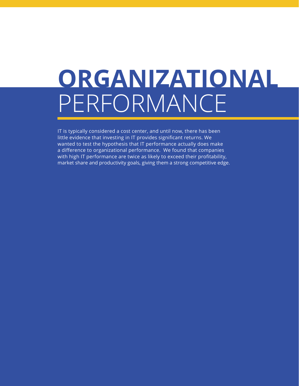# **ORGANIZATIONAL** PERFORMANCE

IT is typically considered a cost center, and until now, there has been little evidence that investing in IT provides significant returns. We wanted to test the hypothesis that IT performance actually does make a difference to organizational performance. We found that companies with high IT performance are twice as likely to exceed their profitability, market share and productivity goals, giving them a strong competitive edge.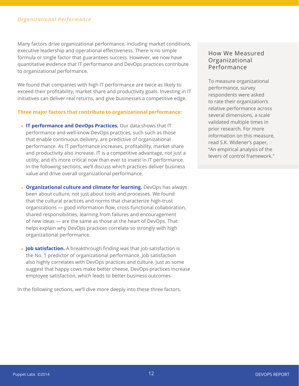Many factors drive organizational performance, including market conditions, executive leadership and operational effectiveness. There is no simple formula or single factor that guarantees success. However, we now have quantitative evidence that IT performance and DevOps practices contribute to organizational performance.

We found that companies with high IT performance are twice as likely to exceed their profitability, market share and productivity goals. Investing in IT initiatives can deliver real returns, and give businesses a competitive edge.

#### **Three major factors that contribute to organizational performance:**

- **IT performance and DevOps Practices.** Our data shows that IT performance and well-know DevOps practices, such such as those that enable continuous delivery, are predictive of organizational performance. As IT performance increases, profitability, market share and productivity also increase. IT is a competitive advantage, not just a utility, and it's more critical now than ever to invest in IT performance. In the following sections, we'll discuss which practices deliver business value and drive overall organizational performance.
- **Organizational culture and climate for learning.** DevOps has always been about culture, not just about tools and processes. We found that the cultural practices and norms that characterize high-trust organizations — good information flow, cross-functional collaboration, shared responsibilities, learning from failures and encouragement of new ideas — are the same as those at the heart of DevOps. That helps explain why DevOps practices correlate so strongly with high organizational performance.
- **Job satisfaction.** A breakthrough finding was that job satisfaction is the No. 1 predictor of organizational performance. Job satisfaction also highly correlates with DevOps practices and culture. Just as some suggest that happy cows make better cheese, DevOps practices increase employee satisfaction, which leads to better business outcomes

In the following sections, we'll dive more deeply into these three factors.

#### How We Measured Organizational Performance

To measure organizational performance, survey respondents were asked to rate their organization's relative performance across several dimensions, a scale validated multiple times in prior research. For more information on this measure, read S.K. Widener's paper, "An empirical analysis of the levers of control framework."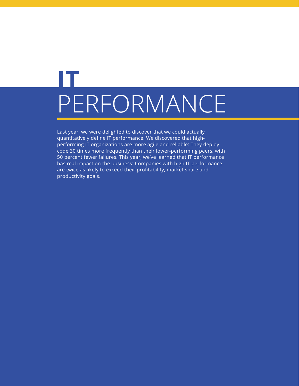## **IT** PERFORMANCE

Last year, we were delighted to discover that we could actually quantitatively define IT performance. We discovered that highperforming IT organizations are more agile and reliable: They deploy code 30 times more frequently than their lower-performing peers, with 50 percent fewer failures. This year, we've learned that IT performance has real impact on the business: Companies with high IT performance are twice as likely to exceed their profitability, market share and productivity goals.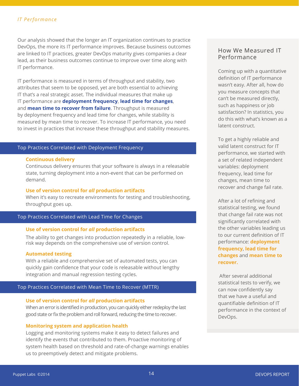Our analysis showed that the longer an IT organization continues to practice DevOps, the more its IT performance improves. Because business outcomes are linked to IT practices, greater DevOps maturity gives companies a clear lead, as their business outcomes continue to improve over time along with IT performance.

IT performance is measured in terms of throughput and stability, two attributes that seem to be opposed, yet are both essential to achieving IT that's a real strategic asset. The individual measures that make up IT performance are **deployment frequency**, **lead time for changes**, and **mean time to recover from failure**. Throughput is measured by deployment frequency and lead time for changes, while stability is measured by mean time to recover. To increase IT performance, you need to invest in practices that increase these throughput and stability measures.

#### Top Practices Correlated with Deployment Frequency

#### **Continuous delivery**

Continuous delivery ensures that your software is always in a releasable state, turning deployment into a non-event that can be performed on demand.

#### **Use of version control for** *all* **production artifacts**

When it's easy to recreate environments for testing and troubleshooting, throughput goes up.

#### Top Practices Correlated with Lead Time for Changes

#### **Use of version control for** *all* **production artifacts**

The ability to get changes into production repeatedly in a reliable, lowrisk way depends on the comprehensive use of version control.

#### **Automated testing**

With a reliable and comprehensive set of automated tests, you can quickly gain confidence that your code is releasable without lengthy integration and manual regression testing cycles.

#### Top Practices Correlated with Mean Time to Recover (MTTR)

#### **Use of version control for** *all* **production artifacts**

When an error is identified in production, you can quickly either redeploy the last good state or fix the problem and roll forward, reducing the time to recover.

#### **Monitoring system and application health**

Logging and monitoring systems make it easy to detect failures and identify the events that contributed to them. Proactive monitoring of system health based on threshold and rate-of-change warnings enables us to preemptively detect and mitigate problems.

#### How We Measured IT Performance

Coming up with a quantitative definition of IT performance wasn't easy. After all, how do you measure concepts that can't be measured directly, such as happiness or job satisfaction? In statistics, you do this with what's known as a latent construct.

To get a highly reliable and valid latent construct for IT performance, we started with a set of related independent variables: deployment frequency, lead time for changes, mean time to recover and change fail rate.

After a lot of refining and statistical testing, we found that change fail rate was not significantly correlated with the other variables leading us to our current definition of IT performance: **deployment frequency**, **lead time for changes** and **mean time to recover.**

 After several additional statistical tests to verify, we can now confidently say that we have a useful and quantifiable definition of IT performance in the context of DevOps.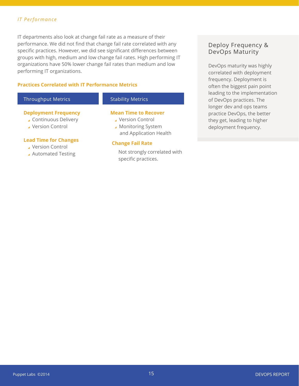#### *IT Performance*

IT departments also look at change fail rate as a measure of their performance. We did not find that change fail rate correlated with any specific practices. However, we did see significant differences between groups with high, medium and low change fail rates. High performing IT organizations have 50% lower change fail rates than medium and low performing IT organizations.

#### **Practices Correlated with IT Performance Metrics**

#### Throughput Metrics **Deployment Frequency** ▲ Continuous Delivery Version Control Stability Metrics **Mean Time to Recover** Version Control ▲ Monitoring System

#### **Lead Time for Changes**

- Version Control
- Automated Testing

and Application Health

#### **Change Fail Rate**

Not strongly correlated with specific practices.

#### Deploy Frequency & DevOps Maturity

DevOps maturity was highly correlated with deployment frequency. Deployment is often the biggest pain point leading to the implementation of DevOps practices. The longer dev and ops teams practice DevOps, the better they get, leading to higher deployment frequency.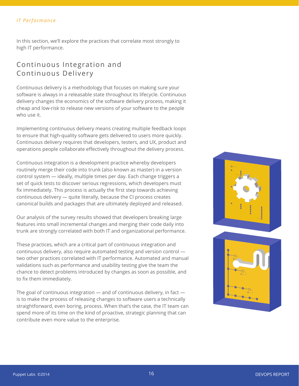#### *IT Performance*

In this section, we'll explore the practices that correlate most strongly to high IT performance.

## Continuous Integration and Continuous Delivery

Continuous delivery is a methodology that focuses on making sure your software is always in a releasable state throughout its lifecycle. Continuous delivery changes the economics of the software delivery process, making it cheap and low-risk to release new versions of your software to the people who use it.

Implementing continuous delivery means creating multiple feedback loops to ensure that high-quality software gets delivered to users more quickly. Continuous delivery requires that developers, testers, and UX, product and operations people collaborate effectively throughout the delivery process.

Continuous integration is a development practice whereby developers routinely merge their code into trunk (also known as master) in a version control system — ideally, multiple times per day. Each change triggers a set of quick tests to discover serious regressions, which developers must fix immediately. This process is actually the first step towards achieving continuous delivery — quite literally, because the CI process creates canonical builds and packages that are ultimately deployed and released.

Our analysis of the survey results showed that developers breaking large features into small incremental changes and merging their code daily into trunk are strongly correlated with both IT and organizational performance.

These practices, which are a critical part of continuous integration and continuous delivery, also require automated testing and version control two other practices correlated with IT performance. Automated and manual validations such as performance and usability testing give the team the chance to detect problems introduced by changes as soon as possible, and to fix them immediately.

The goal of continuous integration — and of continuous delivery, in fact is to make the process of releasing changes to software users a technically straightforward, even boring, process. When that's the case, the IT team can spend more of its time on the kind of proactive, strategic planning that can contribute even more value to the enterprise.

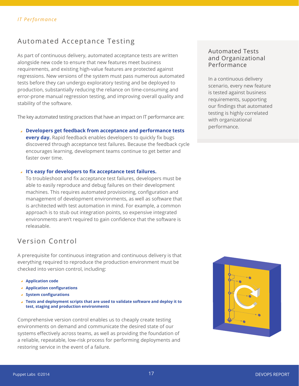## Automated Acceptance Testing

As part of continuous delivery, automated acceptance tests are written alongside new code to ensure that new features meet business requirements, and existing high-value features are protected against regressions. New versions of the system must pass numerous automated tests before they can undergo exploratory testing and be deployed to production, substantially reducing the reliance on time-consuming and error-prone manual regression testing, and improving overall quality and stability of the software.

The key automated testing practices that have an impact on IT performance are:

**Developers get feedback from acceptance and performance tests every day.** Rapid feedback enables developers to quickly fix bugs discovered through acceptance test failures. Because the feedback cycle encourages learning, development teams continue to get better and faster over time.

#### **It's easy for developers to fix acceptance test failures.**

To troubleshoot and fix acceptance test failures, developers must be able to easily reproduce and debug failures on their development machines. This requires automated provisioning, configuration and management of development environments, as well as software that is architected with test automation in mind. For example, a common approach is to stub out integration points, so expensive integrated environments aren't required to gain confidence that the software is releasable.

## Version Control

A prerequisite for continuous integration and continuous delivery is that everything required to reproduce the production environment must be checked into version control, including:

- **Application code**
- **Application configurations**
- **System configurations**
- **Tests and deployment scripts that are used to validate software and deploy it to test, staging and production environments**

Comprehensive version control enables us to cheaply create testing environments on demand and communicate the desired state of our systems effectively across teams, as well as providing the foundation of a reliable, repeatable, low-risk process for performing deployments and restoring service in the event of a failure.

#### Automated Tests and Organizational Performance

In a continuous delivery scenario, every new feature is tested against business requirements, supporting our findings that automated testing is highly correlated with organizational performance.

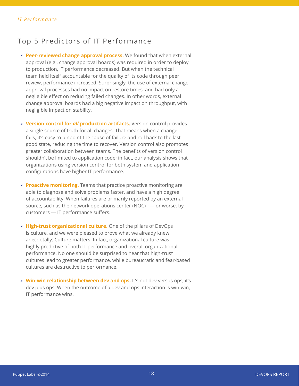## Top 5 Predictors of IT Performance

- **Peer-reviewed change approval process.** We found that when external approval (e.g., change approval boards) was required in order to deploy to production, IT performance decreased. But when the technical team held itself accountable for the quality of its code through peer review, performance increased. Surprisingly, the use of external change approval processes had no impact on restore times, and had only a negligible effect on reducing failed changes. In other words, external change approval boards had a big negative impact on throughput, with negligible impact on stability.
- **Version control for** *all* **production artifacts.** Version control provides a single source of truth for all changes. That means when a change fails, it's easy to pinpoint the cause of failure and roll back to the last good state, reducing the time to recover. Version control also promotes greater collaboration between teams. The benefits of version control shouldn't be limited to application code; in fact, our analysis shows that organizations using version control for both system and application configurations have higher IT performance.
- **Proactive monitoring.** Teams that practice proactive monitoring are able to diagnose and solve problems faster, and have a high degree of accountability. When failures are primarily reported by an external source, such as the network operations center (NOC)  $-$  or worse, by customers — IT performance suffers.
- **High-trust organizational culture.** One of the pillars of DevOps is culture, and we were pleased to prove what we already knew anecdotally: Culture matters. In fact, organizational culture was highly predictive of both IT performance and overall organizational performance. No one should be surprised to hear that high-trust cultures lead to greater performance, while bureaucratic and fear-based cultures are destructive to performance.
- **Win-win relationship between dev and ops.** It's not dev versus ops, it's dev plus ops. When the outcome of a dev and ops interaction is win-win, IT performance wins.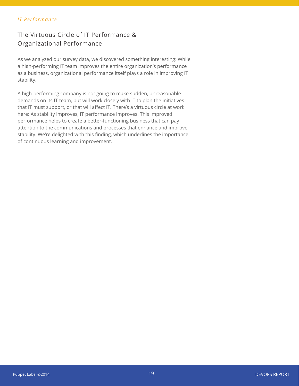#### *IT Performance*

### The Virtuous Circle of IT Performance & Organizational Performance

As we analyzed our survey data, we discovered something interesting: While a high-performing IT team improves the entire organization's performance as a business, organizational performance itself plays a role in improving IT stability.

A high-performing company is not going to make sudden, unreasonable demands on its IT team, but will work closely with IT to plan the initiatives that IT must support, or that will affect IT. There's a virtuous circle at work here: As stability improves, IT performance improves. This improved performance helps to create a better-functioning business that can pay attention to the communications and processes that enhance and improve stability. We're delighted with this finding, which underlines the importance of continuous learning and improvement.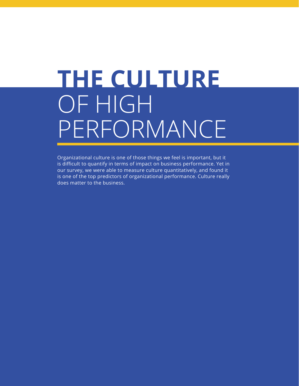## **THE CULTURE** OF HIGH PERFORMANCE

Organizational culture is one of those things we feel is important, but it is difficult to quantify in terms of impact on business performance. Yet in our survey, we were able to measure culture quantitatively, and found it is one of the top predictors of organizational performance. Culture really does matter to the business.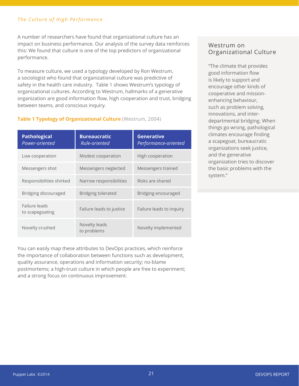#### *The Culture of High Performance*

A number of researchers have found that organizational culture has an impact on business performance. Our analysis of the survey data reinforces this: We found that culture is one of the top predictors of organizational performance.

To measure culture, we used a typology developed by Ron Westrum, a sociologist who found that organizational culture was predictive of safety in the health care industry. Table 1 shows Westrum's typology of organizational cultures. According to Westrum, hallmarks of a generative organization are good information flow, high cooperation and trust, bridging between teams, and conscious inquiry.

#### **Table 1 Typology of Organizational Culture** (Westrum, 2004)

| <b>Pathological</b><br>Power-oriented | <b>Bureaucratic</b><br>Rule-oriented | <b>Generative</b><br>Performance-oriented |
|---------------------------------------|--------------------------------------|-------------------------------------------|
| Low cooperation                       | Modest cooperation                   | High cooperation                          |
| Messengers shot                       | Messengers neglected                 | Messengers trained                        |
| Responsibilities shirked              | Narrow responsibilities              | Risks are shared                          |
| Bridging discouraged                  | <b>Bridging tolerated</b>            | Bridging encouraged                       |
| Failure leads<br>to scapegoating      | Failure leads to justice             | Failure leads to inquiry                  |
| Novelty crushed                       | Novelty leads<br>to problems         | Novelty implemented                       |

You can easily map these attributes to DevOps practices, which reinforce the importance of collaboration between functions such as development, quality assurance, operations and information security; no-blame postmortems; a high-trust culture in which people are free to experiment; and a strong focus on continuous improvement.

#### Westrum on Organizational Culture

"The climate that provides good information flow is likely to support and encourage other kinds of cooperative and missionenhancing behaviour, such as problem solving, innovations, and interdepartmental bridging. When things go wrong, pathological climates encourage finding a scapegoat, bureaucratic organizations seek justice, and the generative organization tries to discover the basic problems with the system."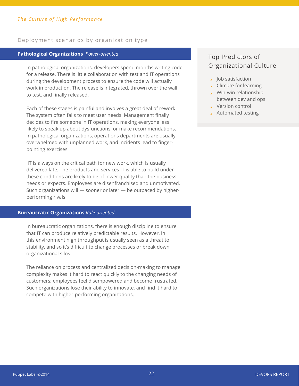#### Deployment scenarios by organization type

#### **Pathological Organizations** *Power-oriented*

In pathological organizations, developers spend months writing code for a release. There is little collaboration with test and IT operations during the development process to ensure the code will actually work in production. The release is integrated, thrown over the wall to test, and finally released.

Each of these stages is painful and involves a great deal of rework. The system often fails to meet user needs. Management finally decides to fire someone in IT operations, making everyone less likely to speak up about dysfunctions, or make recommendations. In pathological organizations, operations departments are usually overwhelmed with unplanned work, and incidents lead to fingerpointing exercises.

 IT is always on the critical path for new work, which is usually delivered late. The products and services IT is able to build under these conditions are likely to be of lower quality than the business needs or expects. Employees are disenfranchised and unmotivated. Such organizations will — sooner or later — be outpaced by higherperforming rivals.

#### **Bureaucratic Organizations** *Rule-oriented*

In bureaucratic organizations, there is enough discipline to ensure that IT can produce relatively predictable results. However, in this environment high throughput is usually seen as a threat to stability, and so it's difficult to change processes or break down organizational silos.

The reliance on process and centralized decision-making to manage complexity makes it hard to react quickly to the changing needs of customers; employees feel disempowered and become frustrated. Such organizations lose their ability to innovate, and find it hard to compete with higher-performing organizations.

### Top Predictors of Organizational Culture

- $\Box$  Job satisfaction
- ▲ Climate for learning
- Win-win relationship between dev and ops
- Version control
- ▲ Automated testing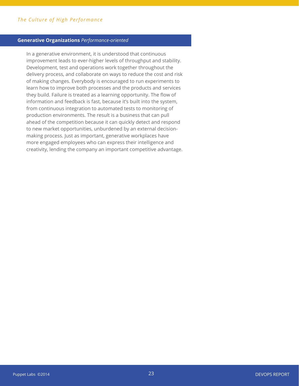#### **Generative Organizations** *Performance-oriented*

In a generative environment, it is understood that continuous improvement leads to ever-higher levels of throughput and stability. Development, test and operations work together throughout the delivery process, and collaborate on ways to reduce the cost and risk of making changes. Everybody is encouraged to run experiments to learn how to improve both processes and the products and services they build. Failure is treated as a learning opportunity. The flow of information and feedback is fast, because it's built into the system, from continuous integration to automated tests to monitoring of production environments. The result is a business that can pull ahead of the competition because it can quickly detect and respond to new market opportunities, unburdened by an external decisionmaking process. Just as important, generative workplaces have more engaged employees who can express their intelligence and creativity, lending the company an important competitive advantage.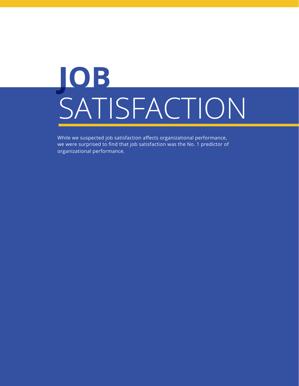## **JOB** SATISFACTION **J**

While we suspected job satisfaction affects organizational performance, we were surprised to find that job satisfaction was the No. 1 predictor of organizational performance.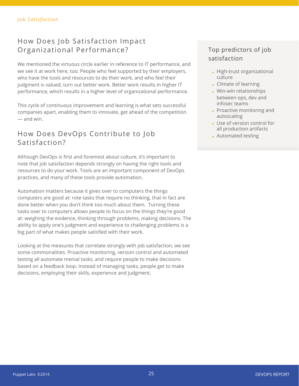## How Does Job Satisfaction Impact Organizational Performance?

We mentioned the virtuous circle earlier in reference to IT performance, and we see it at work here, too: People who feel supported by their employers, who have the tools and resources to do their work, and who feel their judgment is valued, turn out better work. Better work results in higher IT performance, which results in a higher level of organizational performance.

This cycle of continuous improvement and learning is what sets successful companies apart, enabling them to innovate, get ahead of the competition — and win.

## How Does DevOps Contribute to Job Satisfaction?

Although DevOps is first and foremost about culture, it's important to note that job satisfaction depends strongly on having the right tools and resources to do your work. Tools are an important component of DevOps practices, and many of these tools provide automation.

Automation matters because it gives over to computers the things computers are good at: rote tasks that require no thinking, that in fact are done better when you don't think too much about them. Turning these tasks over to computers allows people to focus on the things they're good at: weighing the evidence, thinking through problems, making decisions. The ability to apply one's judgment and experience to challenging problems is a big part of what makes people satisfied with their work.

Looking at the measures that correlate strongly with job satisfaction, we see some commonalities. Proactive monitoring, version control and automated testing all automate menial tasks, and require people to make decisions based on a feedback loop. Instead of managing tasks, people get to make decisions, employing their skills, experience and judgment.

## Top predictors of job satisfaction

- ▲ High-trust organizational culture
- ▲ Climate of learning
- ▲ Win-win relationships between ops, dev and infosec teams
- ▲ Proactive monitoring and autoscaling
- ▲ Use of version control for all production artifacts
- ▲ Automated testing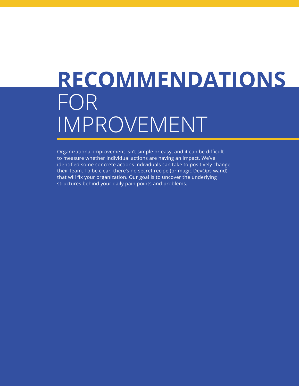## **RECOMMENDATIONS** FOR IMPROVEMENT

Organizational improvement isn't simple or easy, and it can be difficult to measure whether individual actions are having an impact. We've identified some concrete actions individuals can take to positively change their team. To be clear, there's no secret recipe (or magic DevOps wand) that will fix your organization. Our goal is to uncover the underlying structures behind your daily pain points and problems.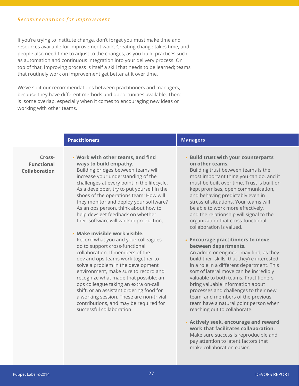#### *Recommendations for Improvement*

If you're trying to institute change, don't forget you must make time and resources available for improvement work. Creating change takes time, and people also need time to adjust to the changes, as you build practices such as automation and continuous integration into your delivery process. On top of that, improving process is itself a skill that needs to be learned; teams that routinely work on improvement get better at it over time.

We've split our recommendations between practitioners and managers, because they have different methods and opportunities available. There is some overlap, especially when it comes to encouraging new ideas or working with other teams.

### **Practitioners** Managers **Managers** Managers **Managers**

**Cross-Functional Collaboration**

 **Work with other teams, and find ways to build empathy.**

Building bridges between teams will increase your understanding of the challenges at every point in the lifecycle. As a developer, try to put yourself in the shoes of the operations team: How will they monitor and deploy your software? As an ops person, think about how to help devs get feedback on whether their software will work in production.

**Make invisible work visible.** 

Record what you and your colleagues do to support cross-functional collaboration. If members of the dev and ops teams work together to solve a problem in the development environment, make sure to record and recognize what made that possible: an ops colleague taking an extra on-call shift, or an assistant ordering food for a working session. These are non-trivial contributions, and may be required for successful collaboration.

 **Build trust with your counterparts on other teams.**

Building trust between teams is the most important thing you can do, and it must be built over time. Trust is built on kept promises, open communication, and behaving predictably even in stressful situations. Your teams will be able to work more effectively, and the relationship will signal to the organization that cross-functional collaboration is valued.

 **Encourage practitioners to move between departments.**

An admin or engineer may find, as they build their skills, that they're interested in a role in a different department. This sort of lateral move can be incredibly valuable to both teams. Practitioners bring valuable information about processes and challenges to their new team, and members of the previous team have a natural point person when reaching out to collaborate.

 **Actively seek, encourage and reward work that facilitates collaboration.** Make sure success is reproducible and pay attention to latent factors that make collaboration easier.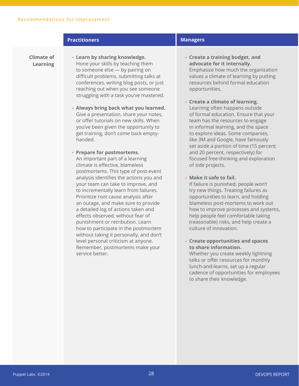#### **Practitioners Managers** Managers Managers

**Climate of Learning**

- **Learn by sharing knowledge.** Hone your skills by teaching them to someone else — by pairing on difficult problems, submitting talks at conferences, writing blog posts, or just reaching out when you see someone struggling with a task you've mastered.
- **Always bring back what you learned.** Give a presentation, share your notes, or offer tutorials on new skills. When you've been given the opportunity to get training, don't come back emptyhanded.
- **Prepare for postmortems.** An important part of a learning climate is effective, blameless postmortems. This type of post-event analysis identifies the actions you and your team can take to improve, and to incrementally learn from failures. Prioritize root cause analysis after an outage, and make sure to provide a detailed log of actions taken and effects observed, without fear of punishment or retribution. Learn how to participate in the postmortem without taking it personally, and don't level personal criticism at anyone. Remember, postmortems make your service better.

- **Create a training budget, and advocate for it internally.** Emphasize how much the organization values a climate of learning by putting resources behind formal education opportunities.
- **Create a climate of learning.** Learning often happens outside of formal education. Ensure that your team has the resources to engage in informal learning, and the space to explore ideas. Some companies, like 3M and Google, have famously set aside a portion of time (15 percent and 20 percent, respectively) for focused free-thinking and exploration of side projects.
- **Make it safe to fail.**

If failure is punished, people won't try new things. Treating failures as opportunities to learn, and holding blameless post-mortems to work out how to improve processes and systems, help people feel comfortable taking (reasonable) risks, and help create a culture of innovation.

 **Create opportunities and spaces to share information.**

Whether you create weekly lightning talks or offer resources for monthly lunch-and-learns, set up a regular cadence of opportunities for employees to share their knowledge.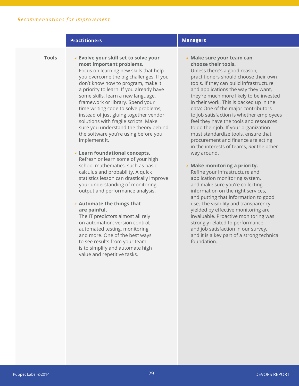|              | <b>Practitioners</b>                                                                                                                                                                                                                                                                                                                                                                                                                                                                                                                                                                                                                                                                                                                                                                                                                                                                                                                                                                                                                                                                                                | <b>Managers</b>                                                                                                                                                                                                                                                                                                                                                                                                                                                                                                                                                                                                                                                                                                                                                                                                                                                                                                                                                                                                                                                                                      |
|--------------|---------------------------------------------------------------------------------------------------------------------------------------------------------------------------------------------------------------------------------------------------------------------------------------------------------------------------------------------------------------------------------------------------------------------------------------------------------------------------------------------------------------------------------------------------------------------------------------------------------------------------------------------------------------------------------------------------------------------------------------------------------------------------------------------------------------------------------------------------------------------------------------------------------------------------------------------------------------------------------------------------------------------------------------------------------------------------------------------------------------------|------------------------------------------------------------------------------------------------------------------------------------------------------------------------------------------------------------------------------------------------------------------------------------------------------------------------------------------------------------------------------------------------------------------------------------------------------------------------------------------------------------------------------------------------------------------------------------------------------------------------------------------------------------------------------------------------------------------------------------------------------------------------------------------------------------------------------------------------------------------------------------------------------------------------------------------------------------------------------------------------------------------------------------------------------------------------------------------------------|
| <b>Tools</b> | ▲ Evolve your skill set to solve your<br>most important problems.<br>Focus on learning new skills that help<br>you overcome the big challenges. If you<br>don't know how to program, make it<br>a priority to learn. If you already have<br>some skills, learn a new language,<br>framework or library. Spend your<br>time writing code to solve problems,<br>instead of just gluing together vendor<br>solutions with fragile scripts. Make<br>sure you understand the theory behind<br>the software you're using before you<br>implement it.<br>▲ Learn foundational concepts.<br>Refresh or learn some of your high<br>school mathematics, such as basic<br>calculus and probability. A quick<br>statistics lesson can drastically improve<br>your understanding of monitoring<br>output and performance analysis.<br>▲ Automate the things that<br>are painful.<br>The IT predictors almost all rely<br>on automation: version control,<br>automated testing, monitoring,<br>and more. One of the best ways<br>to see results from your team<br>is to simplify and automate high<br>value and repetitive tasks. | ▲ Make sure your team can<br>choose their tools.<br>Unless there's a good reason,<br>practitioners should choose their own<br>tools. If they can build infrastructure<br>and applications the way they want,<br>they're much more likely to be invested<br>in their work. This is backed up in the<br>data: One of the major contributors<br>to job satisfaction is whether employees<br>feel they have the tools and resources<br>to do their job. If your organization<br>must standardize tools, ensure that<br>procurement and finance are acting<br>in the interests of teams, not the other<br>way around.<br>▲ Make monitoring a priority.<br>Refine your infrastructure and<br>application monitoring system,<br>and make sure you're collecting<br>information on the right services,<br>and putting that information to good<br>use. The visibility and transparency<br>yielded by effective monitoring are<br>invaluable. Proactive monitoring was<br>strongly related to performance<br>and job satisfaction in our survey,<br>and it is a key part of a strong technical<br>foundation. |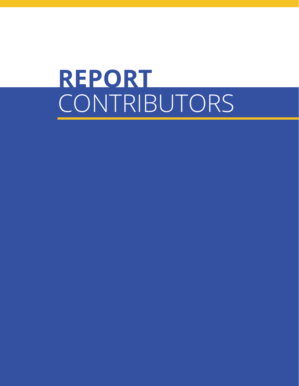